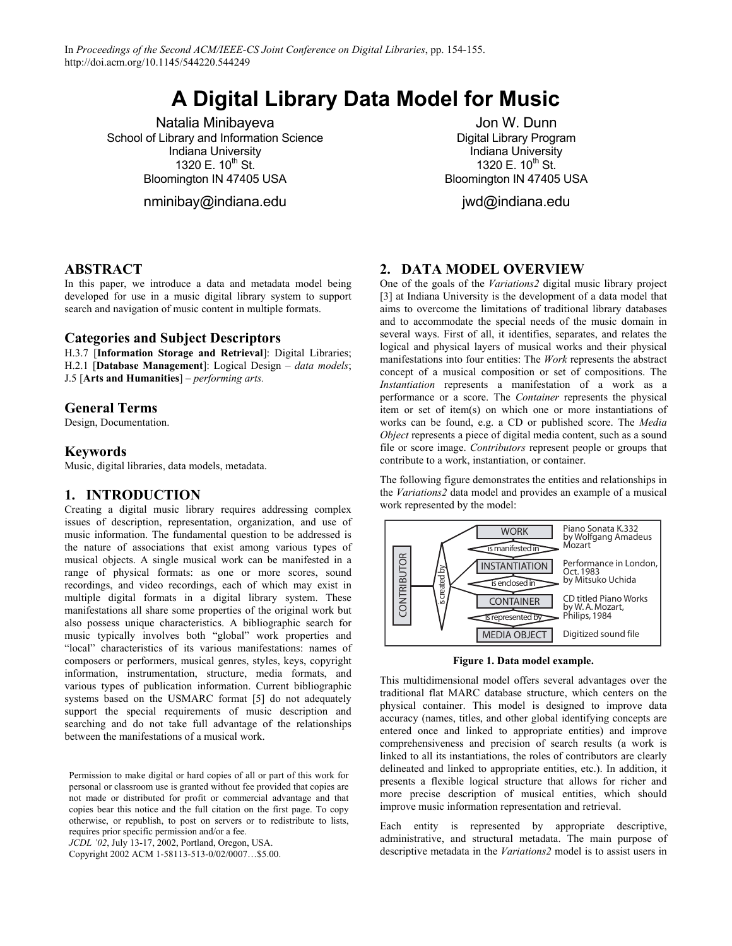# **A Digital Library Data Model for Music**

Natalia Minibayeva School of Library and Information Science Indiana University 1320 E.  $10^{th}$  St. Bloomington IN 47405 USA

nminibay@indiana.edu

Jon W. Dunn Digital Library Program Indiana University 1320 E.  $10^{th}$  St. Bloomington IN 47405 USA

jwd@indiana.edu

## **ABSTRACT**

In this paper, we introduce a data and metadata model being developed for use in a music digital library system to support search and navigation of music content in multiple formats.

## **Categories and Subject Descriptors**

H.3.7 [**Information Storage and Retrieval**]: Digital Libraries; H.2.1 [**Database Management**]: Logical Design – *data models*; J.5 [**Arts and Humanities**] – *performing arts.*

## **General Terms**

Design, Documentation.

## **Keywords**

Music, digital libraries, data models, metadata.

## **1. INTRODUCTION**

Creating a digital music library requires addressing complex issues of description, representation, organization, and use of music information. The fundamental question to be addressed is the nature of associations that exist among various types of musical objects. A single musical work can be manifested in a range of physical formats: as one or more scores, sound recordings, and video recordings, each of which may exist in multiple digital formats in a digital library system. These manifestations all share some properties of the original work but also possess unique characteristics. A bibliographic search for music typically involves both "global" work properties and "local" characteristics of its various manifestations: names of composers or performers, musical genres, styles, keys, copyright information, instrumentation, structure, media formats, and various types of publication information. Current bibliographic systems based on the USMARC format [5] do not adequately support the special requirements of music description and searching and do not take full advantage of the relationships between the manifestations of a musical work.

Permission to make digital or hard copies of all or part of this work for personal or classroom use is granted without fee provided that copies are not made or distributed for profit or commercial advantage and that copies bear this notice and the full citation on the first page. To copy otherwise, or republish, to post on servers or to redistribute to lists, requires prior specific permission and/or a fee.

*JCDL '02*, July 13-17, 2002, Portland, Oregon, USA.

Copyright 2002 ACM 1-58113-513-0/02/0007…\$5.00.

## **2. DATA MODEL OVERVIEW**

One of the goals of the *Variations2* digital music library project [3] at Indiana University is the development of a data model that aims to overcome the limitations of traditional library databases and to accommodate the special needs of the music domain in several ways. First of all, it identifies, separates, and relates the logical and physical layers of musical works and their physical manifestations into four entities: The *Work* represents the abstract concept of a musical composition or set of compositions. The *Instantiation* represents a manifestation of a work as a performance or a score. The *Container* represents the physical item or set of item(s) on which one or more instantiations of works can be found, e.g. a CD or published score. The *Media Object* represents a piece of digital media content, such as a sound file or score image. *Contributors* represent people or groups that contribute to a work, instantiation, or container.

The following figure demonstrates the entities and relationships in the *Variations2* data model and provides an example of a musical work represented by the model:



**Figure 1. Data model example.** 

This multidimensional model offers several advantages over the traditional flat MARC database structure, which centers on the physical container. This model is designed to improve data accuracy (names, titles, and other global identifying concepts are entered once and linked to appropriate entities) and improve comprehensiveness and precision of search results (a work is linked to all its instantiations, the roles of contributors are clearly delineated and linked to appropriate entities, etc.). In addition, it presents a flexible logical structure that allows for richer and more precise description of musical entities, which should improve music information representation and retrieval.

Each entity is represented by appropriate descriptive, administrative, and structural metadata. The main purpose of descriptive metadata in the *Variations2* model is to assist users in